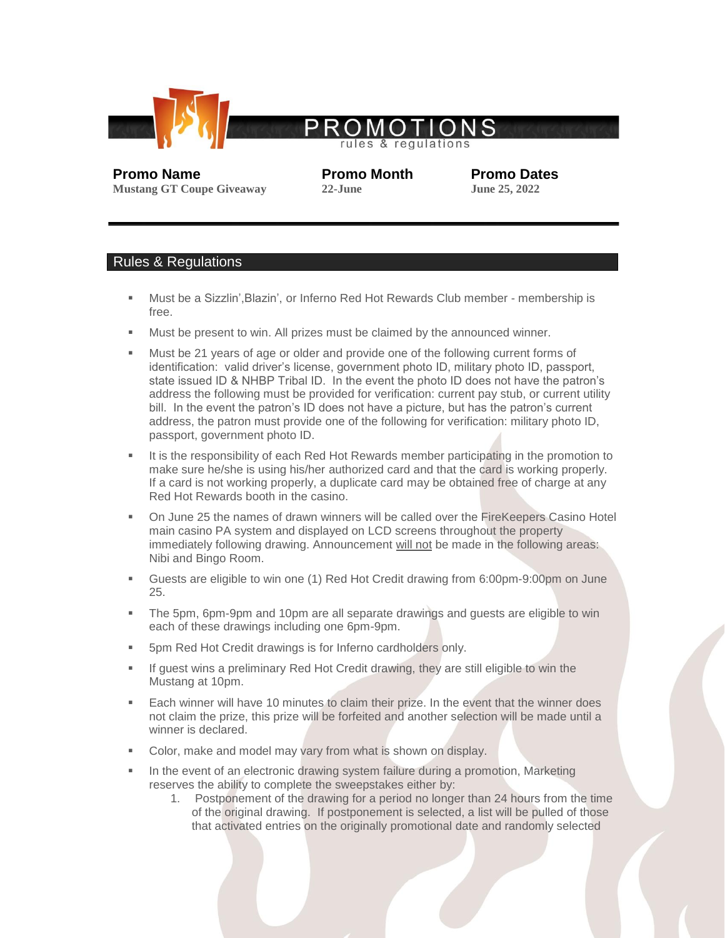

**Mustang GT Coupe Giveaway 22-June** 

**Promo Name Promo Month Promo Dates**<br> **Promo Dates**<br> **Promo Dates**<br> **Promo Dates**<br> **Promo Dates**<br> **Promo Dates** 

## Rules & Regulations

- Must be a Sizzlin', Blazin', or Inferno Red Hot Rewards Club member membership is free.
- **Must be present to win. All prizes must be claimed by the announced winner.**
- Must be 21 years of age or older and provide one of the following current forms of identification: valid driver's license, government photo ID, military photo ID, passport, state issued ID & NHBP Tribal ID. In the event the photo ID does not have the patron's address the following must be provided for verification: current pay stub, or current utility bill. In the event the patron's ID does not have a picture, but has the patron's current address, the patron must provide one of the following for verification: military photo ID, passport, government photo ID.
- It is the responsibility of each Red Hot Rewards member participating in the promotion to make sure he/she is using his/her authorized card and that the card is working properly. If a card is not working properly, a duplicate card may be obtained free of charge at any Red Hot Rewards booth in the casino.
- On June 25 the names of drawn winners will be called over the FireKeepers Casino Hotel main casino PA system and displayed on LCD screens throughout the property immediately following drawing. Announcement will not be made in the following areas: Nibi and Bingo Room.
- Guests are eligible to win one (1) Red Hot Credit drawing from 6:00pm-9:00pm on June 25.
- The 5pm, 6pm-9pm and 10pm are all separate drawings and guests are eligible to win each of these drawings including one 6pm-9pm.
- 5pm Red Hot Credit drawings is for Inferno cardholders only.
- If guest wins a preliminary Red Hot Credit drawing, they are still eligible to win the Mustang at 10pm.
- Each winner will have 10 minutes to claim their prize. In the event that the winner does not claim the prize, this prize will be forfeited and another selection will be made until a winner is declared.
- Color, make and model may vary from what is shown on display.
- In the event of an electronic drawing system failure during a promotion, Marketing reserves the ability to complete the sweepstakes either by:
	- 1. Postponement of the drawing for a period no longer than 24 hours from the time of the original drawing. If postponement is selected, a list will be pulled of those that activated entries on the originally promotional date and randomly selected